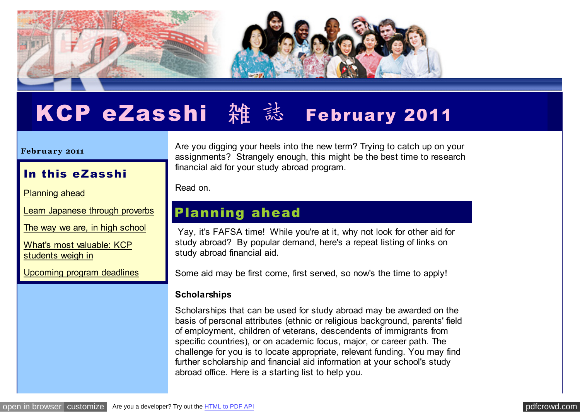

# KCP eZasshi 雑 誌 February 2011

#### **Febru a ry 2011**

#### In this eZasshi

[Planning ahead](http://pdfcrowd.com/redirect/?url=http%3a%2f%2farchive.constantcontact.com%2ffs061%2f1102771164575%2farchive%2f1104360631565.html%23LETTER.BLOCK6&id=in-110621000404-0e0c8038)

[Learn Japanese through proverbs](http://pdfcrowd.com/redirect/?url=http%3a%2f%2farchive.constantcontact.com%2ffs061%2f1102771164575%2farchive%2f1104360631565.html%23LETTER.BLOCK9&id=in-110621000404-0e0c8038)

[The way we are, in high school](http://pdfcrowd.com/redirect/?url=http%3a%2f%2farchive.constantcontact.com%2ffs061%2f1102771164575%2farchive%2f1104360631565.html%23LETTER.BLOCK10&id=in-110621000404-0e0c8038)

[What's most valuable: KCP](http://pdfcrowd.com/redirect/?url=http%3a%2f%2farchive.constantcontact.com%2ffs061%2f1102771164575%2farchive%2f1104360631565.html%23LETTER.BLOCK11&id=in-110621000404-0e0c8038) students weigh in

[Upcoming program deadlines](http://pdfcrowd.com/redirect/?url=http%3a%2f%2farchive.constantcontact.com%2ffs061%2f1102771164575%2farchive%2f1104360631565.html%23LETTER.BLOCK12&id=in-110621000404-0e0c8038)

Are you digging your heels into the new term? Trying to catch up on your assignments? Strangely enough, this might be the best time to research financial aid for your study abroad program.

Read on.

### Planning ahead

 Yay, it's FAFSA time! While you're at it, why not look for other aid for study abroad? By popular demand, here's a repeat listing of links on study abroad financial aid.

Some aid may be first come, first served, so now's the time to apply!

#### **Scholarships**

Scholarships that can be used for study abroad may be awarded on the basis of personal attributes (ethnic or religious background, parents' field of employment, children of veterans, descendents of immigrants from specific countries), or on academic focus, major, or career path. The challenge for you is to locate appropriate, relevant funding. You may find further scholarship and financial aid information at your school's study abroad office. Here is a starting list to help you.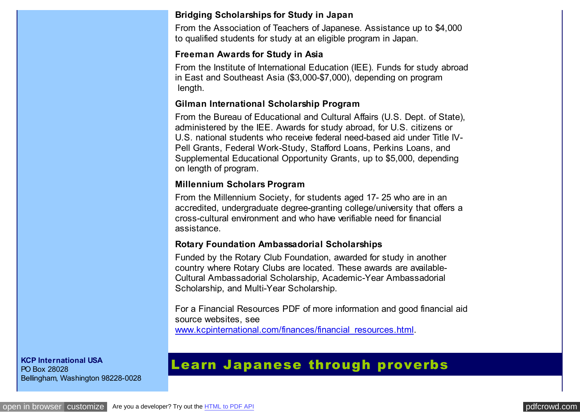#### **[Bridging Scholarships for Study in Japan](http://pdfcrowd.com/redirect/?url=http%3a%2f%2fwww.aatj.org%2fatj%2fstudyabroad%2fscholarships.html&id=in-110621000404-0e0c8038)**

From the Association of Teachers of Japanese. Assistance up to \$4,000 to qualified students for study at an eligible program in Japan.

#### **[Freeman Awards for Study in Asia](http://pdfcrowd.com/redirect/?url=http%3a%2f%2fwww.iie.org%2fpgms%2ffreeman-asia%2f&id=in-110621000404-0e0c8038)**

From the Institute of International Education (IEE). Funds for study abroad in East and Southeast Asia (\$3,000-\$7,000), depending on program length.

#### **[Gilman International Scholarship Program](http://pdfcrowd.com/redirect/?url=http%3a%2f%2fwww.iie.org%2fgilman%2f&id=in-110621000404-0e0c8038)**

From the Bureau of Educational and Cultural Affairs (U.S. Dept. of State), administered by the IEE. Awards for study abroad, for U.S. citizens or U.S. national students who receive federal need-based aid under Title IV-Pell Grants, Federal Work-Study, Stafford Loans, Perkins Loans, and Supplemental Educational Opportunity Grants, up to \$5,000, depending on length of program.

#### **[Millennium Scholars Program](http://pdfcrowd.com/redirect/?url=http%3a%2f%2fwww.millenniumsociety.org%2fscholars_program.html&id=in-110621000404-0e0c8038)**

From the Millennium Society, for students aged 17- 25 who are in an accredited, undergraduate degree-granting college/university that offers a cross-cultural environment and who have verifiable need for financial assistance.

#### **[Rotary Foundation Ambassadorial Scholarships](http://pdfcrowd.com/redirect/?url=http%3a%2f%2fwww.rotary.org%2ffoundation%2feducational%2famb_scho%2findex.html&id=in-110621000404-0e0c8038)**

Funded by the Rotary Club Foundation, awarded for study in another country where Rotary Clubs are located. These awards are available-Cultural Ambassadorial Scholarship, Academic-Year Ambassadorial Scholarship, and Multi-Year Scholarship.

For a Financial Resources PDF of more information and good financial aid source websites, see [www.kcpinternational.com/finances/financial\\_resources.html.](http://pdfcrowd.com/redirect/?url=http%3a%2f%2fwww.kcpinternational.com%2ffinances%2ffinancial_resources.html&id=in-110621000404-0e0c8038)

**KCP International USA** PO Box 28028 Bellingham, Washington 98228-0028

## Learn Japanese through proverbs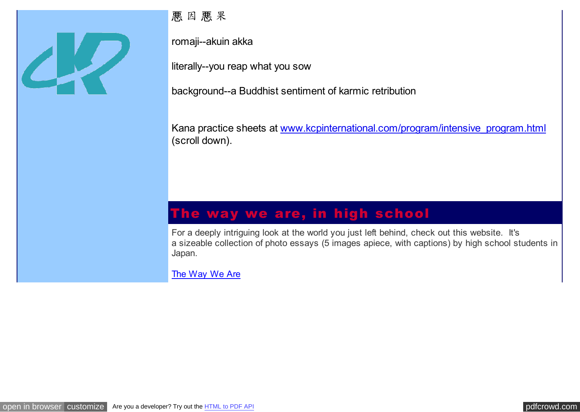

悪 因 悪 果

romaji--akuin akka

literally--you reap what you sow

background--a Buddhist sentiment of karmic retribution

Kana practice sheets at [www.kcpinternational.com/program/intensive\\_program.html](http://pdfcrowd.com/redirect/?url=http%3a%2f%2fwww.kcpinternational.com%2fprogram%2fintensive_program.html&id=in-110621000404-0e0c8038) (scroll down).

## The way we are, in high school

For a deeply intriguing look at the world you just left behind, check out this website. It's a sizeable collection of photo essays (5 images apiece, with captions) by high school students in Japan.

[The Way We Are](http://pdfcrowd.com/redirect/?url=http%3a%2f%2fwww.tjf.or.jp%2fthewayweare%2findex.html&id=in-110621000404-0e0c8038)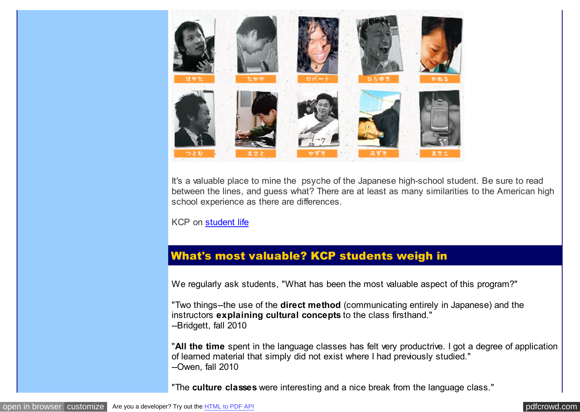

It's a valuable place to mine the psyche of the Japanese high-school student. Be sure to read between the lines, and guess what? There are at least as many similarities to the American high school experience as there are differences.

KCP on [student life](http://pdfcrowd.com/redirect/?url=http%3a%2f%2fwww.kcpinternational.com%2flife%2farriving.html&id=in-110621000404-0e0c8038)

#### What's most valuable? KCP students weigh in

We regularly ask students, "What has been the most valuable aspect of this program?"

"Two things--the use of the **direct method** (communicating entirely in Japanese) and the instructors **explaining cultural concepts** to the class firsthand." --Bridgett, fall 2010

"**All the time** spent in the language classes has felt very productrive. I got a degree of application of learned material that simply did not exist where I had previously studied." --Owen, fall 2010

"The **culture classes** were interesting and a nice break from the language class."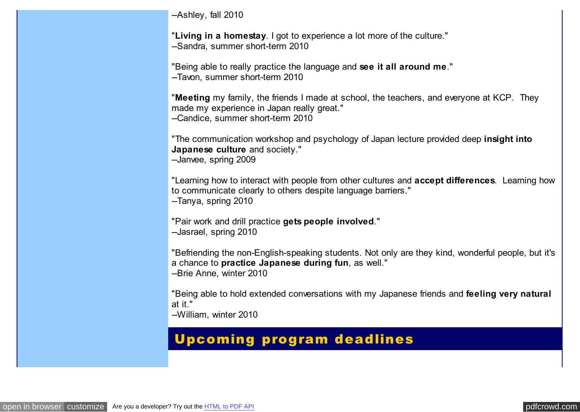--Ashley, fall 2010

"**Living in a homestay**. I got to experience a lot more of the culture." --Sandra, summer short-term 2010

"Being able to really practice the language and **see it all around me**." --Tavon, summer short-term 2010

"**Meeting** my family, the friends I made at school, the teachers, and everyone at KCP. They made my experience in Japan really great." --Candice, summer short-term 2010

"The communication workshop and psychology of Japan lecture provided deep **insight into Japanese culture** and society."

--Janvee, spring 2009

"Learning how to interact with people from other cultures and **accept differences**. Learning how to communicate clearly to others despite language barriers."

--Tanya, spring 2010

"Pair work and drill practice **gets people involved**." --Jasrael, spring 2010

"Befriending the non-English-speaking students. Not only are they kind, wonderful people, but it's a chance to **practice Japanese during fun**, as well."

--Brie Anne, winter 2010

"Being able to hold extended conversations with my Japanese friends and **feeling very natural** at it."

--William, winter 2010

## Upcoming program deadlines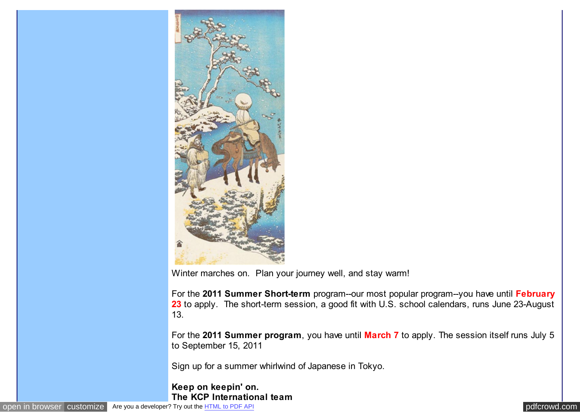

Winter marches on. Plan your journey well, and stay warm!

For the **2011 Summer Short-term** program--our most popular program--you have until **February** 23 to apply. The short-term session, a good fit with U.S. school calendars, runs June 23-August 13.

For the **2011 Summer program**, you have until **March 7** to apply. The session itself runs July 5 to September 15, 2011

Sign up for a summer whirlwind of Japanese in Tokyo.

#### **Keep on keepin' on. The KCP International team**